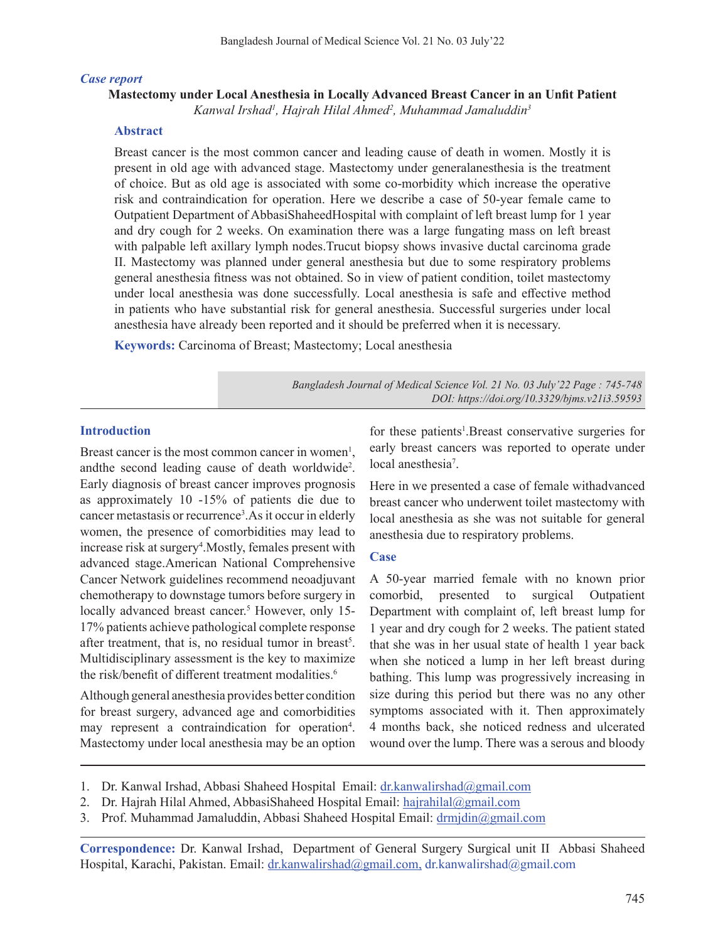#### *Case report*

# **Mastectomy under Local Anesthesia in Locally Advanced Breast Cancer in an Unfit Patient**

*Kanwal Irshad1 , Hajrah Hilal Ahmed2 , Muhammad Jamaluddin3*

### **Abstract**

Breast cancer is the most common cancer and leading cause of death in women. Mostly it is present in old age with advanced stage. Mastectomy under generalanesthesia is the treatment of choice. But as old age is associated with some co-morbidity which increase the operative risk and contraindication for operation. Here we describe a case of 50-year female came to Outpatient Department of AbbasiShaheedHospital with complaint of left breast lump for 1 year and dry cough for 2 weeks. On examination there was a large fungating mass on left breast with palpable left axillary lymph nodes.Trucut biopsy shows invasive ductal carcinoma grade II. Mastectomy was planned under general anesthesia but due to some respiratory problems general anesthesia fitness was not obtained. So in view of patient condition, toilet mastectomy under local anesthesia was done successfully. Local anesthesia is safe and effective method in patients who have substantial risk for general anesthesia. Successful surgeries under local anesthesia have already been reported and it should be preferred when it is necessary.

**Keywords:** Carcinoma of Breast; Mastectomy; Local anesthesia

*Bangladesh Journal of Medical Science Vol. 21 No. 03 July'22 Page : 745-748 DOI: https://doi.org/10.3329/bjms.v21i3.59593*

### **Introduction**

Breast cancer is the most common cancer in women<sup>1</sup>, andthe second leading cause of death worldwide<sup>2</sup>. Early diagnosis of breast cancer improves prognosis as approximately 10 -15% of patients die due to cancer metastasis or recurrence<sup>3</sup>. As it occur in elderly women, the presence of comorbidities may lead to increase risk at surgery<sup>4</sup>. Mostly, females present with advanced stage.American National Comprehensive Cancer Network guidelines recommend neoadjuvant chemotherapy to downstage tumors before surgery in locally advanced breast cancer.<sup>5</sup> However, only 15-17% patients achieve pathological complete response after treatment, that is, no residual tumor in breast<sup>5</sup>. Multidisciplinary assessment is the key to maximize the risk/benefit of different treatment modalities.<sup>6</sup>

Although general anesthesia provides better condition for breast surgery, advanced age and comorbidities may represent a contraindication for operation<sup>4</sup>. Mastectomy under local anesthesia may be an option for these patients<sup>1</sup>. Breast conservative surgeries for early breast cancers was reported to operate under local anesthesia<sup>7</sup>.

Here in we presented a case of female withadvanced breast cancer who underwent toilet mastectomy with local anesthesia as she was not suitable for general anesthesia due to respiratory problems.

#### **Case**

A 50-year married female with no known prior comorbid, presented to surgical Outpatient Department with complaint of, left breast lump for 1 year and dry cough for 2 weeks. The patient stated that she was in her usual state of health 1 year back when she noticed a lump in her left breast during bathing. This lump was progressively increasing in size during this period but there was no any other symptoms associated with it. Then approximately 4 months back, she noticed redness and ulcerated wound over the lump. There was a serous and bloody

- 1. Dr. Kanwal Irshad, Abbasi Shaheed Hospital Email: dr.kanwalirshad@gmail.com
- 2. Dr. Hajrah Hilal Ahmed, AbbasiShaheed Hospital Email: hajrahilal@gmail.com
- 3. Prof. Muhammad Jamaluddin, Abbasi Shaheed Hospital Email: drmjdin@gmail.com

**Correspondence:** Dr. Kanwal Irshad, Department of General Surgery Surgical unit II Abbasi Shaheed Hospital, Karachi, Pakistan. Email: dr.kanwalirshad@gmail.com, dr.kanwalirshad@gmail.com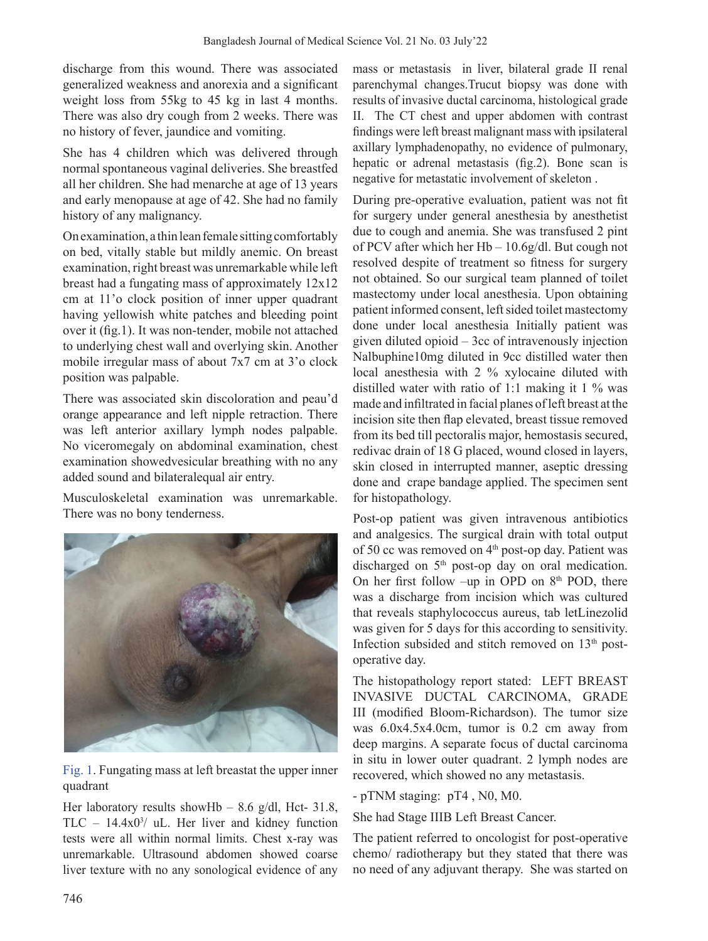discharge from this wound. There was associated generalized weakness and anorexia and a significant weight loss from 55kg to 45 kg in last 4 months. There was also dry cough from 2 weeks. There was no history of fever, jaundice and vomiting.

She has 4 children which was delivered through normal spontaneous vaginal deliveries. She breastfed all her children. She had menarche at age of 13 years and early menopause at age of 42. She had no family history of any malignancy.

On examination, a thin lean female sitting comfortably on bed, vitally stable but mildly anemic. On breast examination, right breast was unremarkable while left breast had a fungating mass of approximately 12x12 cm at 11'o clock position of inner upper quadrant having yellowish white patches and bleeding point over it (fig.1). It was non-tender, mobile not attached to underlying chest wall and overlying skin. Another mobile irregular mass of about 7x7 cm at 3'o clock position was palpable.

There was associated skin discoloration and peau'd orange appearance and left nipple retraction. There was left anterior axillary lymph nodes palpable. No viceromegaly on abdominal examination, chest examination showedvesicular breathing with no any added sound and bilateralequal air entry.

Musculoskeletal examination was unremarkable. There was no bony tenderness.



Fig. 1. Fungating mass at left breastat the upper inner quadrant

Her laboratory results showHb – 8.6 g/dl, Hct- 31.8, TLC – 14.4x03 / uL. Her liver and kidney function tests were all within normal limits. Chest x-ray was unremarkable. Ultrasound abdomen showed coarse liver texture with no any sonological evidence of any mass or metastasis in liver, bilateral grade II renal parenchymal changes.Trucut biopsy was done with results of invasive ductal carcinoma, histological grade II. The CT chest and upper abdomen with contrast findings were left breast malignant mass with ipsilateral axillary lymphadenopathy, no evidence of pulmonary, hepatic or adrenal metastasis (fig.2). Bone scan is negative for metastatic involvement of skeleton .

During pre-operative evaluation, patient was not fit for surgery under general anesthesia by anesthetist due to cough and anemia. She was transfused 2 pint of PCV after which her Hb – 10.6g/dl. But cough not resolved despite of treatment so fitness for surgery not obtained. So our surgical team planned of toilet mastectomy under local anesthesia. Upon obtaining patient informed consent, left sided toilet mastectomy done under local anesthesia Initially patient was given diluted opioid – 3cc of intravenously injection Nalbuphine10mg diluted in 9cc distilled water then local anesthesia with 2 % xylocaine diluted with distilled water with ratio of 1:1 making it 1 % was made and infiltrated in facial planes of left breast at the incision site then flap elevated, breast tissue removed from its bed till pectoralis major, hemostasis secured, redivac drain of 18 G placed, wound closed in layers, skin closed in interrupted manner, aseptic dressing done and crape bandage applied. The specimen sent for histopathology.

Post-op patient was given intravenous antibiotics and analgesics. The surgical drain with total output of 50 cc was removed on  $4<sup>th</sup>$  post-op day. Patient was discharged on 5<sup>th</sup> post-op day on oral medication. On her first follow –up in OPD on  $8<sup>th</sup>$  POD, there was a discharge from incision which was cultured that reveals staphylococcus aureus, tab letLinezolid was given for 5 days for this according to sensitivity. Infection subsided and stitch removed on  $13<sup>th</sup>$  postoperative day.

The histopathology report stated: LEFT BREAST INVASIVE DUCTAL CARCINOMA, GRADE III (modified Bloom-Richardson). The tumor size was 6.0x4.5x4.0cm, tumor is 0.2 cm away from deep margins. A separate focus of ductal carcinoma in situ in lower outer quadrant. 2 lymph nodes are recovered, which showed no any metastasis.

- pTNM staging: pT4 , N0, M0.

She had Stage IIIB Left Breast Cancer.

The patient referred to oncologist for post-operative chemo/ radiotherapy but they stated that there was no need of any adjuvant therapy. She was started on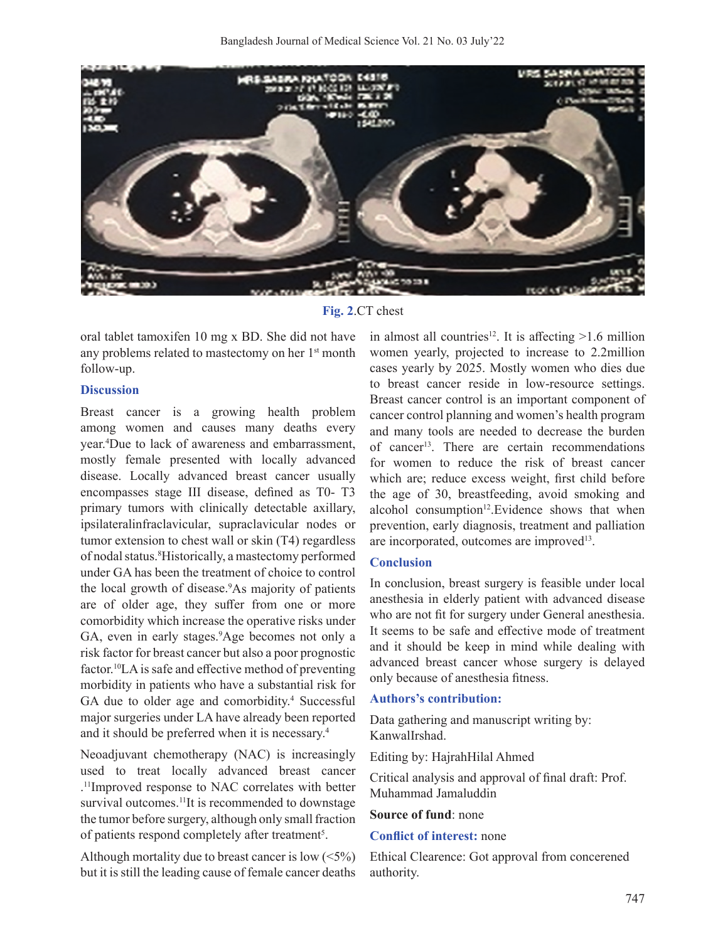

**Fig. 2**.CT chest

oral tablet tamoxifen 10 mg x BD. She did not have any problems related to mastectomy on her 1<sup>st</sup> month follow-up.

### **Discussion**

Breast cancer is a growing health problem among women and causes many deaths every year.4 Due to lack of awareness and embarrassment, mostly female presented with locally advanced disease. Locally advanced breast cancer usually encompasses stage III disease, defined as T0- T3 primary tumors with clinically detectable axillary, ipsilateralinfraclavicular, supraclavicular nodes or tumor extension to chest wall or skin (T4) regardless of nodal status.8 Historically, a mastectomy performed under GA has been the treatment of choice to control the local growth of disease.<sup>9</sup>As majority of patients are of older age, they suffer from one or more comorbidity which increase the operative risks under GA, even in early stages.<sup>9</sup>Age becomes not only a risk factor for breast cancer but also a poor prognostic factor.<sup>10</sup>LA is safe and effective method of preventing morbidity in patients who have a substantial risk for GA due to older age and comorbidity.<sup>4</sup> Successful major surgeries under LA have already been reported and it should be preferred when it is necessary.4

Neoadjuvant chemotherapy (NAC) is increasingly used to treat locally advanced breast cancer . 11Improved response to NAC correlates with better survival outcomes.<sup>11</sup>It is recommended to downstage the tumor before surgery, although only small fraction of patients respond completely after treatment<sup>5</sup>.

Although mortality due to breast cancer is low  $(5\%)$ but it is still the leading cause of female cancer deaths

in almost all countries<sup>12</sup>. It is affecting  $>1.6$  million women yearly, projected to increase to 2.2million cases yearly by 2025. Mostly women who dies due to breast cancer reside in low-resource settings. Breast cancer control is an important component of cancer control planning and women's health program and many tools are needed to decrease the burden of cancer<sup>13</sup>. There are certain recommendations for women to reduce the risk of breast cancer which are; reduce excess weight, first child before the age of 30, breastfeeding, avoid smoking and alcohol consumption<sup>12</sup>.Evidence shows that when prevention, early diagnosis, treatment and palliation are incorporated, outcomes are improved<sup>13</sup>.

### **Conclusion**

In conclusion, breast surgery is feasible under local anesthesia in elderly patient with advanced disease who are not fit for surgery under General anesthesia. It seems to be safe and effective mode of treatment and it should be keep in mind while dealing with advanced breast cancer whose surgery is delayed only because of anesthesia fitness.

### **Authors's contribution:**

Data gathering and manuscript writing by: KanwalIrshad.

Editing by: HajrahHilal Ahmed

Critical analysis and approval of final draft: Prof. Muhammad Jamaluddin

### **Source of fund**: none

### **Conflict of interest:** none

Ethical Clearence: Got approval from concerened authority.